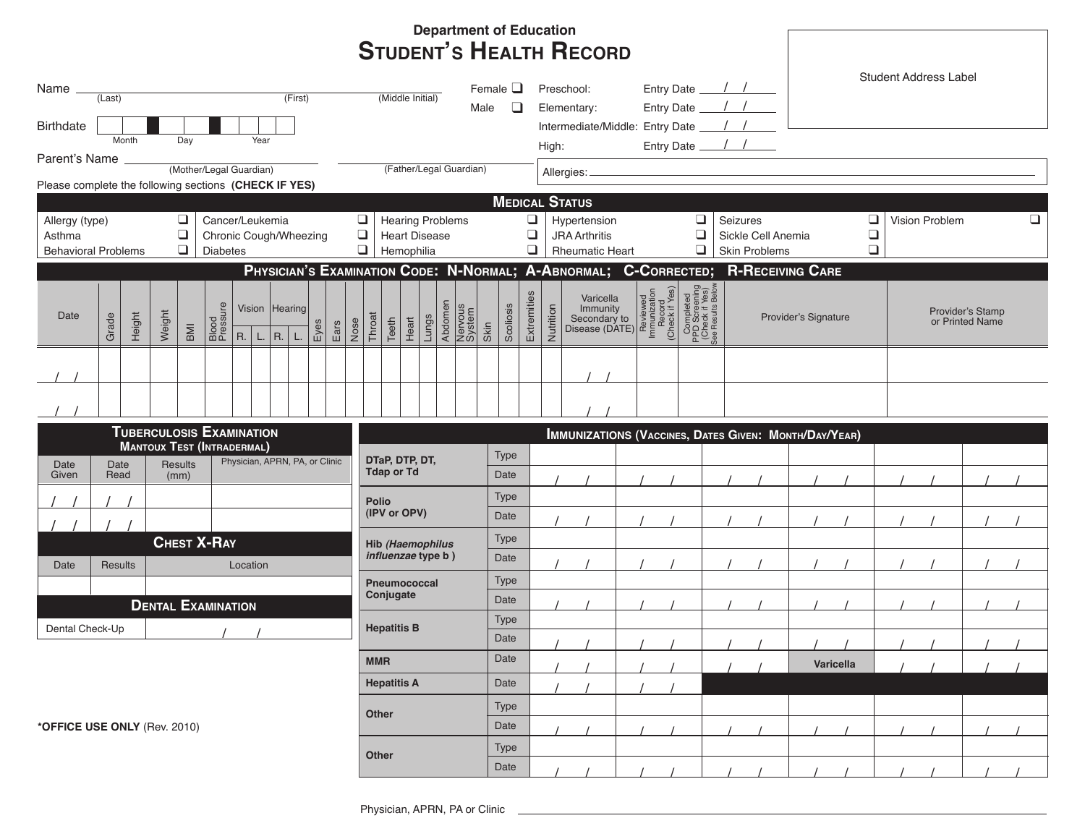|                                                                                                                                                |                                                                                               |                                 |  |      |                                                                                                                |                                     |                                             |                                                                  |       |                    |       |                              |      |                                                                 |                           |                               |              |                                                                                                                                                                                                                                                                                                                                                                                       |      | <b>Department of Education</b> |                    |                                                                                   |                                |                      |        |  |  |                                     |                                                              |  |  |           |  |  |  |  |  |  |
|------------------------------------------------------------------------------------------------------------------------------------------------|-----------------------------------------------------------------------------------------------|---------------------------------|--|------|----------------------------------------------------------------------------------------------------------------|-------------------------------------|---------------------------------------------|------------------------------------------------------------------|-------|--------------------|-------|------------------------------|------|-----------------------------------------------------------------|---------------------------|-------------------------------|--------------|---------------------------------------------------------------------------------------------------------------------------------------------------------------------------------------------------------------------------------------------------------------------------------------------------------------------------------------------------------------------------------------|------|--------------------------------|--------------------|-----------------------------------------------------------------------------------|--------------------------------|----------------------|--------|--|--|-------------------------------------|--------------------------------------------------------------|--|--|-----------|--|--|--|--|--|--|
|                                                                                                                                                |                                                                                               |                                 |  |      |                                                                                                                |                                     |                                             |                                                                  |       |                    |       |                              |      |                                                                 |                           |                               |              |                                                                                                                                                                                                                                                                                                                                                                                       |      |                                |                    |                                                                                   | <b>STUDENT'S HEALTH RECORD</b> |                      |        |  |  |                                     |                                                              |  |  |           |  |  |  |  |  |  |
| Name _<br>(First)<br>(Last)<br><b>Birthdate</b>                                                                                                |                                                                                               |                                 |  |      |                                                                                                                | (Middle Initial)<br>Male            |                                             |                                                                  |       |                    |       | Female $\square$<br>❏        |      | Preschool:<br>Elementary:<br>Intermediate/Middle: Entry Date __ |                           |                               |              |                                                                                                                                                                                                                                                                                                                                                                                       |      |                                |                    |                                                                                   | <b>Student Address Label</b>   |                      |        |  |  |                                     |                                                              |  |  |           |  |  |  |  |  |  |
| Month<br>Day<br>Year<br>High:                                                                                                                  |                                                                                               |                                 |  |      |                                                                                                                |                                     |                                             |                                                                  |       |                    |       |                              |      |                                                                 |                           |                               |              |                                                                                                                                                                                                                                                                                                                                                                                       |      |                                |                    |                                                                                   |                                |                      |        |  |  |                                     |                                                              |  |  |           |  |  |  |  |  |  |
|                                                                                                                                                | Parent's Name<br>(Mother/Legal Guardian)                                                      |                                 |  |      |                                                                                                                |                                     |                                             |                                                                  |       |                    |       |                              |      |                                                                 |                           |                               |              |                                                                                                                                                                                                                                                                                                                                                                                       |      |                                |                    |                                                                                   |                                |                      |        |  |  |                                     |                                                              |  |  |           |  |  |  |  |  |  |
| Please complete the following sections (CHECK IF YES)                                                                                          |                                                                                               |                                 |  |      |                                                                                                                |                                     |                                             | (Father/Legal Guardian)                                          |       |                    |       |                              |      |                                                                 |                           |                               | Allergies: _ |                                                                                                                                                                                                                                                                                                                                                                                       |      |                                |                    |                                                                                   |                                |                      |        |  |  |                                     |                                                              |  |  |           |  |  |  |  |  |  |
|                                                                                                                                                |                                                                                               |                                 |  |      |                                                                                                                |                                     |                                             |                                                                  |       |                    |       |                              |      |                                                                 |                           |                               |              |                                                                                                                                                                                                                                                                                                                                                                                       |      | <b>MEDICAL STATUS</b>          |                    |                                                                                   |                                |                      |        |  |  |                                     |                                                              |  |  |           |  |  |  |  |  |  |
| ❏<br>Cancer/Leukemia<br>Allergy (type)                                                                                                         |                                                                                               |                                 |  |      |                                                                                                                |                                     | $\Box$<br>$\Box$<br><b>Hearing Problems</b> |                                                                  |       |                    |       |                              |      |                                                                 |                           | ❏<br>Hypertension<br>Seizures |              |                                                                                                                                                                                                                                                                                                                                                                                       |      |                                |                    |                                                                                   |                                | □<br>Vision Problem  |        |  |  |                                     | ⊔                                                            |  |  |           |  |  |  |  |  |  |
| $\Box$<br>Asthma<br>Chronic Cough/Wheezing                                                                                                     |                                                                                               |                                 |  |      |                                                                                                                | $\Box$<br>❏<br><b>Heart Disease</b> |                                             |                                                                  |       |                    |       |                              |      |                                                                 | ❏<br><b>JRA Arthritis</b> |                               |              |                                                                                                                                                                                                                                                                                                                                                                                       |      |                                | Sickle Cell Anemia |                                                                                   |                                |                      | $\Box$ |  |  |                                     |                                                              |  |  |           |  |  |  |  |  |  |
| $\Box$<br>$\Box$<br>$\Box$<br>$\Box$<br>Skin Problems<br>Hemophilia<br><b>Rheumatic Heart</b><br><b>Behavioral Problems</b><br><b>Diabetes</b> |                                                                                               |                                 |  |      |                                                                                                                |                                     |                                             |                                                                  |       |                    |       |                              |      |                                                                 |                           | $\Box$                        |              |                                                                                                                                                                                                                                                                                                                                                                                       |      |                                |                    |                                                                                   |                                |                      |        |  |  |                                     |                                                              |  |  |           |  |  |  |  |  |  |
|                                                                                                                                                |                                                                                               |                                 |  |      |                                                                                                                |                                     |                                             | PHYSICIAN'S EXAMINATION CODE: N-NORMAL; A-ABNORMAL; C-CORRECTED; |       |                    |       |                              |      |                                                                 |                           |                               |              |                                                                                                                                                                                                                                                                                                                                                                                       |      |                                |                    |                                                                                   |                                |                      |        |  |  |                                     | <b>R-RECEIVING CARE</b>                                      |  |  |           |  |  |  |  |  |  |
| Date                                                                                                                                           | Height<br>Grade                                                                               |                                 |  |      | Blood<br>Pressure<br>Vision Hearing<br>Weight<br>Throat<br>Nose<br>Eyes<br>Ears<br>BMI<br>R.<br>R.<br>L.<br>L. |                                     |                                             |                                                                  | Teeth | Heart              | Lungs | Abdomen<br>Nervous<br>System |      | Extremities<br>Scoliosis<br>Skin                                |                           |                               | Nutrition    | $\begin{tabular}{ c c } \hline \textbf{Variable}\\ \textbf{I} & \textbf{B} & \textbf{B} & \textbf{B} \\ \textbf{I} & \textbf{B} & \textbf{B} & \textbf{B} \\ \textbf{Secondary to} & \textbf{B} & \textbf{B} & \textbf{B} \\ \textbf{Sicosodary to} & \textbf{B} & \textbf{B} & \textbf{B} \\ \textbf{Disease (DATE)} & \textbf{B} & \textbf{B} & \textbf{B} \\ \hline \end{tabular}$ |      |                                |                    | Completed<br>PPD Screening<br>Check if Yes)<br>Check if Yes)<br>See Results Below |                                | Provider's Signature |        |  |  | Provider's Stamp<br>or Printed Name |                                                              |  |  |           |  |  |  |  |  |  |
|                                                                                                                                                |                                                                                               |                                 |  |      |                                                                                                                |                                     |                                             |                                                                  |       |                    |       |                              |      |                                                                 |                           |                               |              |                                                                                                                                                                                                                                                                                                                                                                                       |      |                                |                    |                                                                                   |                                |                      |        |  |  |                                     |                                                              |  |  |           |  |  |  |  |  |  |
|                                                                                                                                                |                                                                                               |                                 |  |      |                                                                                                                |                                     |                                             |                                                                  |       |                    |       |                              |      |                                                                 |                           |                               |              |                                                                                                                                                                                                                                                                                                                                                                                       |      |                                |                    |                                                                                   |                                |                      |        |  |  |                                     |                                                              |  |  |           |  |  |  |  |  |  |
|                                                                                                                                                |                                                                                               |                                 |  |      |                                                                                                                |                                     |                                             |                                                                  |       |                    |       |                              |      |                                                                 |                           |                               |              |                                                                                                                                                                                                                                                                                                                                                                                       |      |                                |                    |                                                                                   |                                |                      |        |  |  |                                     |                                                              |  |  |           |  |  |  |  |  |  |
|                                                                                                                                                |                                                                                               |                                 |  |      |                                                                                                                |                                     |                                             |                                                                  |       |                    |       |                              |      |                                                                 |                           |                               |              |                                                                                                                                                                                                                                                                                                                                                                                       |      |                                |                    |                                                                                   |                                |                      |        |  |  |                                     |                                                              |  |  |           |  |  |  |  |  |  |
|                                                                                                                                                |                                                                                               | <b>TUBERCULOSIS EXAMINATION</b> |  |      |                                                                                                                |                                     |                                             |                                                                  |       |                    |       |                              |      |                                                                 |                           |                               |              |                                                                                                                                                                                                                                                                                                                                                                                       |      |                                |                    |                                                                                   |                                |                      |        |  |  |                                     | <b>IMMUNIZATIONS (VACCINES, DATES GIVEN: MONTH/DAY/YEAR)</b> |  |  |           |  |  |  |  |  |  |
| Date                                                                                                                                           | <b>MANTOUX TEST (INTRADERMAL)</b><br>Physician, APRN, PA, or Clinic<br><b>Results</b><br>Date |                                 |  |      |                                                                                                                |                                     | DTaP, DTP, DT,<br><b>Tdap or Td</b>         |                                                                  |       |                    |       | Type                         |      |                                                                 |                           |                               |              |                                                                                                                                                                                                                                                                                                                                                                                       |      |                                |                    |                                                                                   |                                |                      |        |  |  |                                     |                                                              |  |  |           |  |  |  |  |  |  |
| Given                                                                                                                                          |                                                                                               | Read                            |  | (mm) |                                                                                                                |                                     |                                             |                                                                  |       |                    |       |                              |      |                                                                 |                           |                               |              |                                                                                                                                                                                                                                                                                                                                                                                       | Date |                                |                    |                                                                                   |                                |                      |        |  |  |                                     |                                                              |  |  |           |  |  |  |  |  |  |
|                                                                                                                                                |                                                                                               |                                 |  |      |                                                                                                                |                                     |                                             |                                                                  |       |                    |       | <b>Polio</b><br>(IPV or OPV) |      |                                                                 |                           |                               | Type         |                                                                                                                                                                                                                                                                                                                                                                                       |      |                                |                    |                                                                                   |                                |                      |        |  |  |                                     |                                                              |  |  |           |  |  |  |  |  |  |
|                                                                                                                                                |                                                                                               |                                 |  |      |                                                                                                                |                                     |                                             |                                                                  |       |                    |       |                              |      |                                                                 |                           |                               |              |                                                                                                                                                                                                                                                                                                                                                                                       | Date |                                |                    |                                                                                   |                                |                      |        |  |  |                                     |                                                              |  |  |           |  |  |  |  |  |  |
| <b>CHEST X-RAY</b>                                                                                                                             |                                                                                               |                                 |  |      |                                                                                                                |                                     | <b>Hib (Haemophilus</b>                     |                                                                  |       |                    |       |                              |      | Type                                                            |                           |                               |              |                                                                                                                                                                                                                                                                                                                                                                                       |      |                                |                    |                                                                                   |                                |                      |        |  |  |                                     |                                                              |  |  |           |  |  |  |  |  |  |
| Date                                                                                                                                           | Results                                                                                       | Location                        |  |      |                                                                                                                |                                     |                                             |                                                                  |       | influenzae type b) |       |                              |      |                                                                 |                           |                               | Date         |                                                                                                                                                                                                                                                                                                                                                                                       |      |                                |                    |                                                                                   |                                |                      |        |  |  |                                     |                                                              |  |  |           |  |  |  |  |  |  |
|                                                                                                                                                |                                                                                               |                                 |  |      |                                                                                                                |                                     |                                             |                                                                  |       |                    |       | <b>Pneumococcal</b>          |      |                                                                 |                           |                               |              | Type                                                                                                                                                                                                                                                                                                                                                                                  |      |                                |                    |                                                                                   |                                |                      |        |  |  |                                     |                                                              |  |  |           |  |  |  |  |  |  |
| <b>DENTAL EXAMINATION</b>                                                                                                                      |                                                                                               |                                 |  |      |                                                                                                                |                                     | Conjugate                                   |                                                                  |       |                    |       |                              | Date |                                                                 |                           |                               |              |                                                                                                                                                                                                                                                                                                                                                                                       |      |                                |                    |                                                                                   |                                |                      |        |  |  |                                     |                                                              |  |  |           |  |  |  |  |  |  |
| Dental Check-Up                                                                                                                                |                                                                                               |                                 |  |      | <b>Hepatitis B</b>                                                                                             |                                     |                                             |                                                                  |       |                    | Type  |                              |      |                                                                 |                           |                               |              |                                                                                                                                                                                                                                                                                                                                                                                       |      |                                |                    |                                                                                   |                                |                      |        |  |  |                                     |                                                              |  |  |           |  |  |  |  |  |  |
|                                                                                                                                                |                                                                                               |                                 |  |      |                                                                                                                |                                     |                                             |                                                                  |       |                    | Date  |                              |      |                                                                 |                           |                               |              |                                                                                                                                                                                                                                                                                                                                                                                       |      |                                |                    |                                                                                   |                                |                      |        |  |  |                                     |                                                              |  |  |           |  |  |  |  |  |  |
|                                                                                                                                                |                                                                                               |                                 |  |      |                                                                                                                |                                     |                                             |                                                                  |       |                    |       | <b>MMR</b>                   |      |                                                                 |                           |                               |              |                                                                                                                                                                                                                                                                                                                                                                                       | Date |                                |                    |                                                                                   |                                |                      |        |  |  |                                     |                                                              |  |  | Varicella |  |  |  |  |  |  |
|                                                                                                                                                |                                                                                               |                                 |  |      |                                                                                                                |                                     |                                             |                                                                  |       |                    |       | <b>Hepatitis A</b>           |      |                                                                 |                           |                               |              |                                                                                                                                                                                                                                                                                                                                                                                       | Date |                                |                    |                                                                                   |                                |                      |        |  |  |                                     |                                                              |  |  |           |  |  |  |  |  |  |
|                                                                                                                                                |                                                                                               |                                 |  |      |                                                                                                                |                                     |                                             |                                                                  |       |                    |       |                              |      |                                                                 |                           |                               |              | Type                                                                                                                                                                                                                                                                                                                                                                                  |      |                                |                    |                                                                                   |                                |                      |        |  |  |                                     |                                                              |  |  |           |  |  |  |  |  |  |
| *OFFICE USE ONLY (Rev. 2010)                                                                                                                   |                                                                                               |                                 |  |      |                                                                                                                |                                     | <b>Other</b>                                |                                                                  |       |                    |       |                              |      | Date                                                            |                           |                               |              |                                                                                                                                                                                                                                                                                                                                                                                       |      |                                |                    |                                                                                   |                                |                      |        |  |  |                                     |                                                              |  |  |           |  |  |  |  |  |  |
|                                                                                                                                                |                                                                                               |                                 |  |      |                                                                                                                |                                     |                                             |                                                                  |       |                    | Type  |                              |      |                                                                 |                           |                               |              |                                                                                                                                                                                                                                                                                                                                                                                       |      |                                |                    |                                                                                   |                                |                      |        |  |  |                                     |                                                              |  |  |           |  |  |  |  |  |  |
|                                                                                                                                                |                                                                                               |                                 |  |      |                                                                                                                | <b>Other</b>                        |                                             |                                                                  |       |                    |       | Date                         |      |                                                                 |                           |                               |              |                                                                                                                                                                                                                                                                                                                                                                                       |      |                                |                    |                                                                                   |                                |                      |        |  |  |                                     |                                                              |  |  |           |  |  |  |  |  |  |
|                                                                                                                                                |                                                                                               |                                 |  |      |                                                                                                                |                                     |                                             |                                                                  |       |                    |       |                              |      |                                                                 |                           |                               |              |                                                                                                                                                                                                                                                                                                                                                                                       |      |                                |                    |                                                                                   |                                |                      |        |  |  |                                     |                                                              |  |  |           |  |  |  |  |  |  |